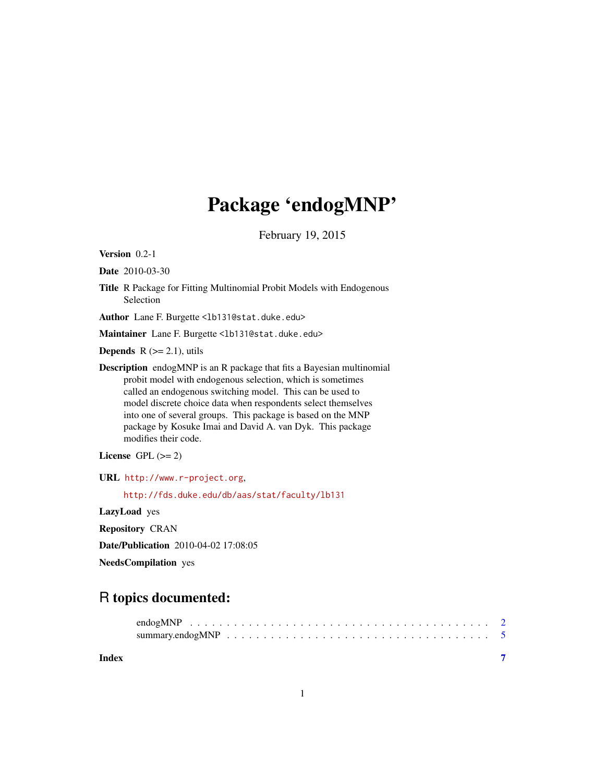## Package 'endogMNP'

February 19, 2015

Version 0.2-1

Date 2010-03-30

Title R Package for Fitting Multinomial Probit Models with Endogenous Selection

Author Lane F. Burgette <1b131@stat.duke.edu>

Maintainer Lane F. Burgette <1b131@stat.duke.edu>

**Depends**  $R$  ( $>= 2.1$ ), utils

Description endogMNP is an R package that fits a Bayesian multinomial probit model with endogenous selection, which is sometimes called an endogenous switching model. This can be used to model discrete choice data when respondents select themselves into one of several groups. This package is based on the MNP package by Kosuke Imai and David A. van Dyk. This package modifies their code.

License GPL  $(>= 2)$ 

URL <http://www.r-project.org>,

<http://fds.duke.edu/db/aas/stat/faculty/lb131>

LazyLoad yes

Repository CRAN

Date/Publication 2010-04-02 17:08:05

NeedsCompilation yes

### R topics documented:

| Index |  |
|-------|--|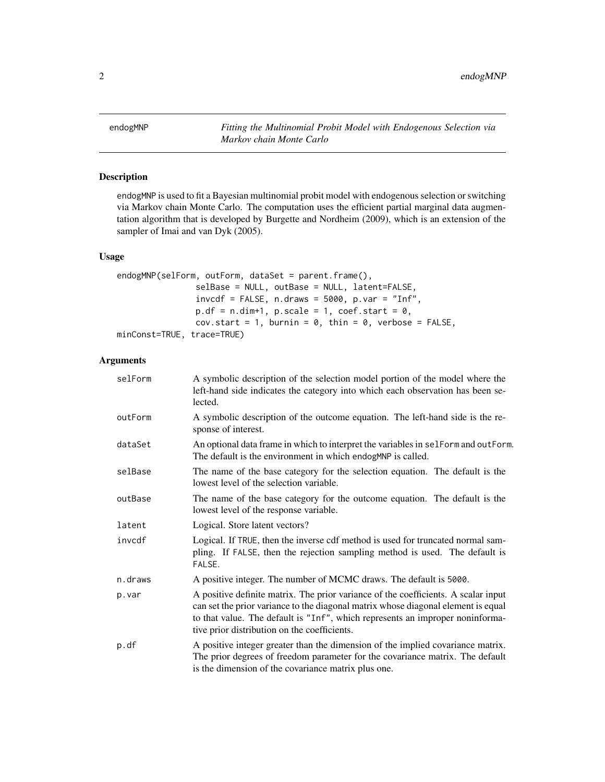<span id="page-1-0"></span>endogMNP *Fitting the Multinomial Probit Model with Endogenous Selection via Markov chain Monte Carlo*

#### Description

endogMNP is used to fit a Bayesian multinomial probit model with endogenous selection or switching via Markov chain Monte Carlo. The computation uses the efficient partial marginal data augmentation algorithm that is developed by Burgette and Nordheim (2009), which is an extension of the sampler of Imai and van Dyk (2005).

#### Usage

```
endogMNP(selForm, outForm, dataSet = parent.frame(),
                selBase = NULL, outBase = NULL, latent=FALSE,
                invcdf = FALSE, n.draws = 5000, p.var = "Inf",p.df = n.dim+1, p.scale = 1, coef.start = 0,
                cov.start = 1, burnin = 0, thin = 0, verbose = FALSE,
minConst=TRUE, trace=TRUE)
```
#### Arguments

| selForm | A symbolic description of the selection model portion of the model where the<br>left-hand side indicates the category into which each observation has been se-<br>lected.                                                                                                                                |
|---------|----------------------------------------------------------------------------------------------------------------------------------------------------------------------------------------------------------------------------------------------------------------------------------------------------------|
| outForm | A symbolic description of the outcome equation. The left-hand side is the re-<br>sponse of interest.                                                                                                                                                                                                     |
| dataSet | An optional data frame in which to interpret the variables in selform and out Form.<br>The default is the environment in which endogMNP is called.                                                                                                                                                       |
| selBase | The name of the base category for the selection equation. The default is the<br>lowest level of the selection variable.                                                                                                                                                                                  |
| outBase | The name of the base category for the outcome equation. The default is the<br>lowest level of the response variable.                                                                                                                                                                                     |
| latent  | Logical. Store latent vectors?                                                                                                                                                                                                                                                                           |
| invcdf  | Logical. If TRUE, then the inverse cdf method is used for truncated normal sam-<br>pling. If FALSE, then the rejection sampling method is used. The default is<br>FALSE.                                                                                                                                 |
| n.draws | A positive integer. The number of MCMC draws. The default is 5000.                                                                                                                                                                                                                                       |
| p.var   | A positive definite matrix. The prior variance of the coefficients. A scalar input<br>can set the prior variance to the diagonal matrix whose diagonal element is equal<br>to that value. The default is "Inf", which represents an improper noninforma-<br>tive prior distribution on the coefficients. |
| p.df    | A positive integer greater than the dimension of the implied covariance matrix.<br>The prior degrees of freedom parameter for the covariance matrix. The default<br>is the dimension of the covariance matrix plus one.                                                                                  |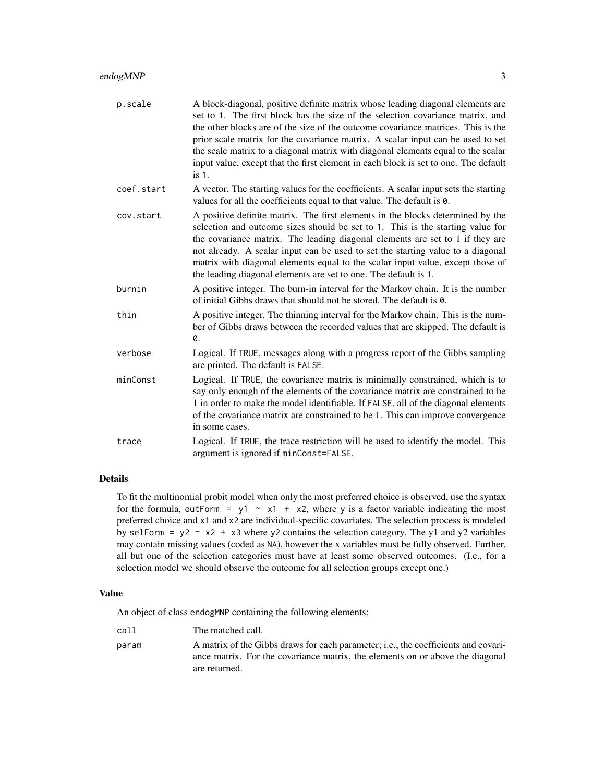| p.scale    | A block-diagonal, positive definite matrix whose leading diagonal elements are<br>set to 1. The first block has the size of the selection covariance matrix, and<br>the other blocks are of the size of the outcome covariance matrices. This is the<br>prior scale matrix for the covariance matrix. A scalar input can be used to set<br>the scale matrix to a diagonal matrix with diagonal elements equal to the scalar<br>input value, except that the first element in each block is set to one. The default<br>$is1$ . |
|------------|-------------------------------------------------------------------------------------------------------------------------------------------------------------------------------------------------------------------------------------------------------------------------------------------------------------------------------------------------------------------------------------------------------------------------------------------------------------------------------------------------------------------------------|
| coef.start | A vector. The starting values for the coefficients. A scalar input sets the starting<br>values for all the coefficients equal to that value. The default is 0.                                                                                                                                                                                                                                                                                                                                                                |
| cov.start  | A positive definite matrix. The first elements in the blocks determined by the<br>selection and outcome sizes should be set to 1. This is the starting value for<br>the covariance matrix. The leading diagonal elements are set to 1 if they are<br>not already. A scalar input can be used to set the starting value to a diagonal<br>matrix with diagonal elements equal to the scalar input value, except those of<br>the leading diagonal elements are set to one. The default is 1.                                     |
| burnin     | A positive integer. The burn-in interval for the Markov chain. It is the number<br>of initial Gibbs draws that should not be stored. The default is 0.                                                                                                                                                                                                                                                                                                                                                                        |
| thin       | A positive integer. The thinning interval for the Markov chain. This is the num-<br>ber of Gibbs draws between the recorded values that are skipped. The default is<br>0.                                                                                                                                                                                                                                                                                                                                                     |
| verbose    | Logical. If TRUE, messages along with a progress report of the Gibbs sampling<br>are printed. The default is FALSE.                                                                                                                                                                                                                                                                                                                                                                                                           |
| minConst   | Logical. If TRUE, the covariance matrix is minimally constrained, which is to<br>say only enough of the elements of the covariance matrix are constrained to be<br>1 in order to make the model identifiable. If FALSE, all of the diagonal elements<br>of the covariance matrix are constrained to be 1. This can improve convergence<br>in some cases.                                                                                                                                                                      |
| trace      | Logical. If TRUE, the trace restriction will be used to identify the model. This<br>argument is ignored if minConst=FALSE.                                                                                                                                                                                                                                                                                                                                                                                                    |

#### Details

To fit the multinomial probit model when only the most preferred choice is observed, use the syntax for the formula, outForm = y1  $\sim$  x1 + x2, where y is a factor variable indicating the most preferred choice and x1 and x2 are individual-specific covariates. The selection process is modeled by selForm =  $y2 \sim x2 + x3$  where y2 contains the selection category. The y1 and y2 variables may contain missing values (coded as NA), however the x variables must be fully observed. Further, all but one of the selection categories must have at least some observed outcomes. (I.e., for a selection model we should observe the outcome for all selection groups except one.)

#### Value

An object of class endogMNP containing the following elements:

| call<br>The matched call.                                                                                                                                                                     |  |
|-----------------------------------------------------------------------------------------------------------------------------------------------------------------------------------------------|--|
| A matrix of the Gibbs draws for each parameter; i.e., the coefficients and covari-<br>param<br>ance matrix. For the covariance matrix, the elements on or above the diagonal<br>are returned. |  |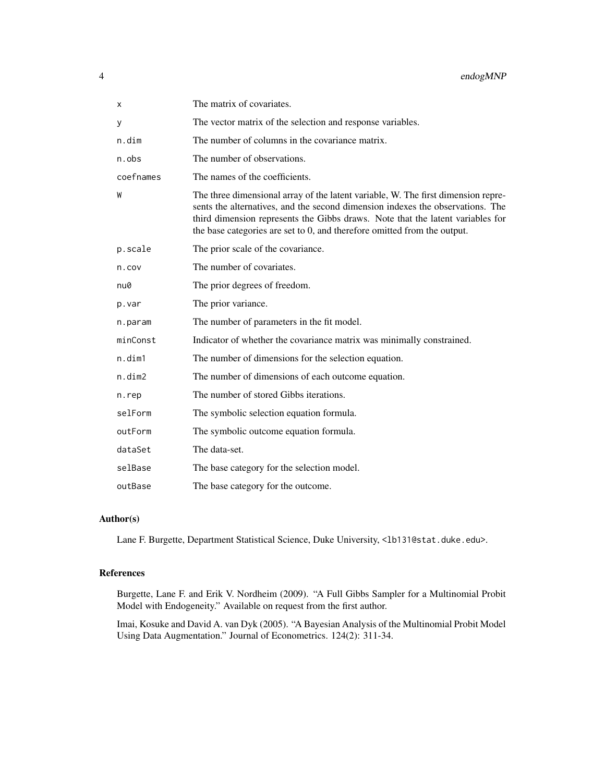| X         | The matrix of covariates.                                                                                                                                                                                                                                                                                                            |
|-----------|--------------------------------------------------------------------------------------------------------------------------------------------------------------------------------------------------------------------------------------------------------------------------------------------------------------------------------------|
| У         | The vector matrix of the selection and response variables.                                                                                                                                                                                                                                                                           |
| n.dim     | The number of columns in the covariance matrix.                                                                                                                                                                                                                                                                                      |
| $n.$ obs  | The number of observations.                                                                                                                                                                                                                                                                                                          |
| coefnames | The names of the coefficients.                                                                                                                                                                                                                                                                                                       |
| W         | The three dimensional array of the latent variable, W. The first dimension repre-<br>sents the alternatives, and the second dimension indexes the observations. The<br>third dimension represents the Gibbs draws. Note that the latent variables for<br>the base categories are set to $0$ , and therefore omitted from the output. |
| p.scale   | The prior scale of the covariance.                                                                                                                                                                                                                                                                                                   |
| n.cov     | The number of covariates.                                                                                                                                                                                                                                                                                                            |
| nu0       | The prior degrees of freedom.                                                                                                                                                                                                                                                                                                        |
| p.var     | The prior variance.                                                                                                                                                                                                                                                                                                                  |
| n.param   | The number of parameters in the fit model.                                                                                                                                                                                                                                                                                           |
| minConst  | Indicator of whether the covariance matrix was minimally constrained.                                                                                                                                                                                                                                                                |
| n.dim1    | The number of dimensions for the selection equation.                                                                                                                                                                                                                                                                                 |
| n.dim2    | The number of dimensions of each outcome equation.                                                                                                                                                                                                                                                                                   |
| n.rep     | The number of stored Gibbs iterations.                                                                                                                                                                                                                                                                                               |
| selForm   | The symbolic selection equation formula.                                                                                                                                                                                                                                                                                             |
| outForm   | The symbolic outcome equation formula.                                                                                                                                                                                                                                                                                               |
| dataSet   | The data-set.                                                                                                                                                                                                                                                                                                                        |
| selBase   | The base category for the selection model.                                                                                                                                                                                                                                                                                           |
| outBase   | The base category for the outcome.                                                                                                                                                                                                                                                                                                   |

#### Author(s)

Lane F. Burgette, Department Statistical Science, Duke University, <1b131@stat.duke.edu>.

#### References

Burgette, Lane F. and Erik V. Nordheim (2009). "A Full Gibbs Sampler for a Multinomial Probit Model with Endogeneity." Available on request from the first author.

Imai, Kosuke and David A. van Dyk (2005). "A Bayesian Analysis of the Multinomial Probit Model Using Data Augmentation." Journal of Econometrics. 124(2): 311-34.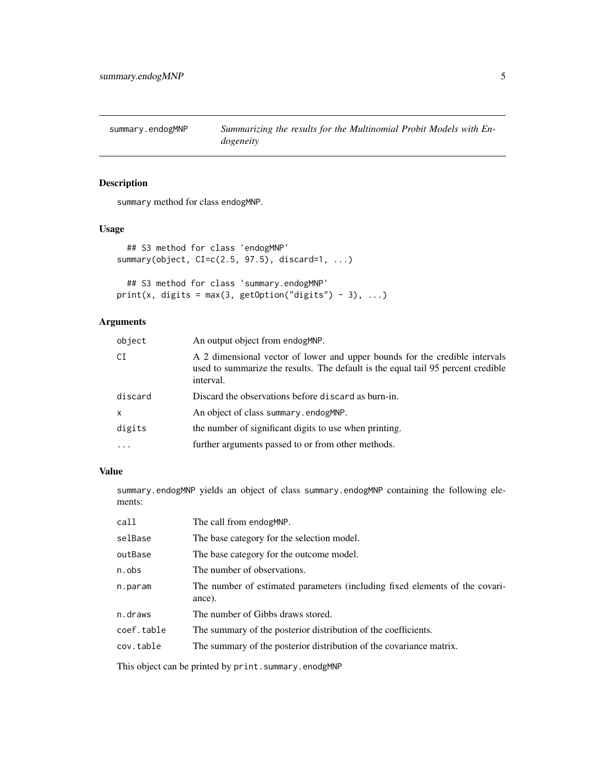<span id="page-4-0"></span>

#### Description

summary method for class endogMNP.

#### Usage

```
## S3 method for class 'endogMNP'
summary(object, CI=c(2.5, 97.5), discard=1, ...)
 ## S3 method for class 'summary.endogMNP'
```

```
print(x, digits = max(3, getOption("digits") - 3), ...)
```
#### Arguments

| object       | An output object from endogMNP.                                                                                                                                              |
|--------------|------------------------------------------------------------------------------------------------------------------------------------------------------------------------------|
| CI           | A 2 dimensional vector of lower and upper bounds for the credible intervals<br>used to summarize the results. The default is the equal tail 95 percent credible<br>interval. |
| discard      | Discard the observations before discard as burn-in.                                                                                                                          |
| $\mathsf{x}$ | An object of class summary, endogMNP.                                                                                                                                        |
| digits       | the number of significant digits to use when printing.                                                                                                                       |
| $\cdots$     | further arguments passed to or from other methods.                                                                                                                           |

#### Value

summary.endogMNP yields an object of class summary.endogMNP containing the following elements:

| call       | The call from endogMNP.                                                               |
|------------|---------------------------------------------------------------------------------------|
| selBase    | The base category for the selection model.                                            |
| outBase    | The base category for the outcome model.                                              |
| n.obs      | The number of observations.                                                           |
| n.param    | The number of estimated parameters (including fixed elements of the covari-<br>ance). |
| n.draws    | The number of Gibbs draws stored.                                                     |
| coef.table | The summary of the posterior distribution of the coefficients.                        |
| cov.table  | The summary of the posterior distribution of the covariance matrix.                   |
|            |                                                                                       |

This object can be printed by print.summary.enodgMNP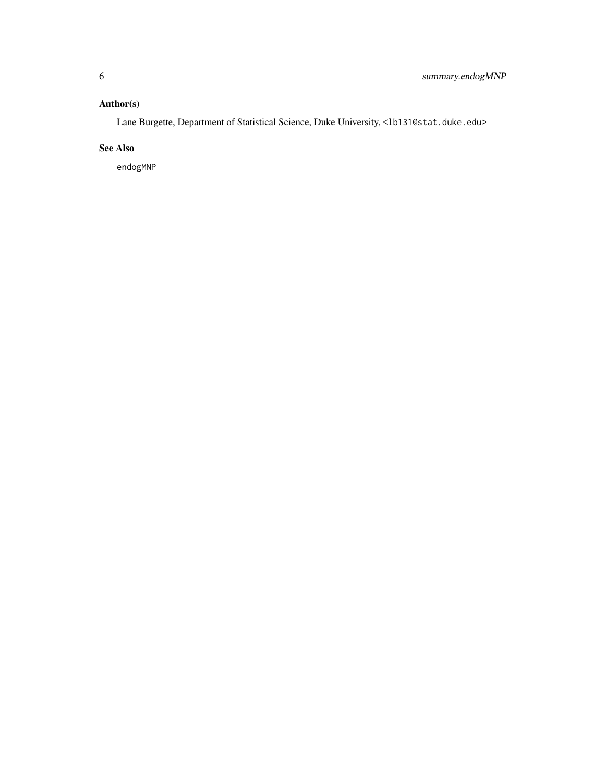#### Author(s)

Lane Burgette, Department of Statistical Science, Duke University, <1b131@stat.duke.edu>

#### See Also

endogMNP